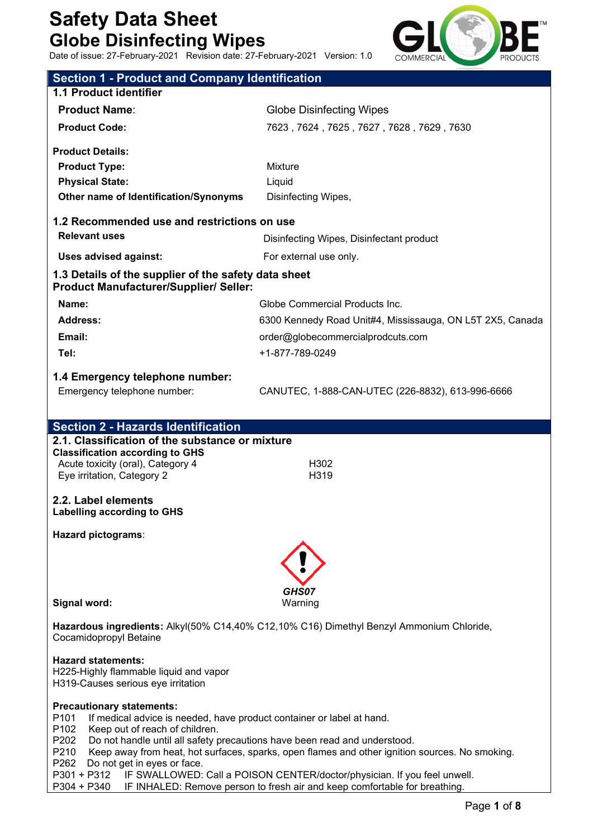Date of issue: 27-February-2021 Revision date: 27-February-2021 Version: 1.0



| Date of Issue: 27-February-2021 Revision date: 27-February-2021 Version: 1.0                                                                                            | <b>COMMERCIAL</b><br><b>PRODUCTS</b>                                                     |
|-------------------------------------------------------------------------------------------------------------------------------------------------------------------------|------------------------------------------------------------------------------------------|
| <b>Section 1 - Product and Company Identification</b>                                                                                                                   |                                                                                          |
| 1.1 Product identifier                                                                                                                                                  |                                                                                          |
| <b>Product Name:</b>                                                                                                                                                    | <b>Globe Disinfecting Wipes</b>                                                          |
| <b>Product Code:</b>                                                                                                                                                    | 7623, 7624, 7625, 7627, 7628, 7629, 7630                                                 |
| <b>Product Details:</b>                                                                                                                                                 |                                                                                          |
| <b>Product Type:</b>                                                                                                                                                    | <b>Mixture</b>                                                                           |
| <b>Physical State:</b>                                                                                                                                                  | Liquid                                                                                   |
| Other name of Identification/Synonyms                                                                                                                                   | Disinfecting Wipes,                                                                      |
|                                                                                                                                                                         |                                                                                          |
| 1.2 Recommended use and restrictions on use                                                                                                                             |                                                                                          |
| <b>Relevant uses</b>                                                                                                                                                    | Disinfecting Wipes, Disinfectant product                                                 |
| <b>Uses advised against:</b>                                                                                                                                            | For external use only.                                                                   |
| 1.3 Details of the supplier of the safety data sheet<br><b>Product Manufacturer/Supplier/ Seller:</b>                                                                   |                                                                                          |
| Name:                                                                                                                                                                   | Globe Commercial Products Inc.                                                           |
| <b>Address:</b>                                                                                                                                                         | 6300 Kennedy Road Unit#4, Mississauga, ON L5T 2X5, Canada                                |
| Email:                                                                                                                                                                  | order@globecommercialprodcuts.com                                                        |
| Tel:                                                                                                                                                                    | +1-877-789-0249                                                                          |
|                                                                                                                                                                         |                                                                                          |
| 1.4 Emergency telephone number:<br>Emergency telephone number:                                                                                                          | CANUTEC, 1-888-CAN-UTEC (226-8832), 613-996-6666                                         |
|                                                                                                                                                                         |                                                                                          |
| <b>Section 2 - Hazards Identification</b>                                                                                                                               |                                                                                          |
| 2.1. Classification of the substance or mixture                                                                                                                         |                                                                                          |
| <b>Classification according to GHS</b>                                                                                                                                  |                                                                                          |
| Acute toxicity (oral), Category 4<br>Eye irritation, Category 2                                                                                                         | H302<br>H319                                                                             |
|                                                                                                                                                                         |                                                                                          |
| 2.2 Label elements<br><b>Labelling according to GHS</b>                                                                                                                 |                                                                                          |
| Hazard pictograms:                                                                                                                                                      |                                                                                          |
|                                                                                                                                                                         |                                                                                          |
|                                                                                                                                                                         |                                                                                          |
|                                                                                                                                                                         | GHS07                                                                                    |
| Signal word:                                                                                                                                                            | Warning                                                                                  |
| Cocamidopropyl Betaine                                                                                                                                                  | Hazardous ingredients: Alkyl(50% C14,40% C12,10% C16) Dimethyl Benzyl Ammonium Chloride, |
| <b>Hazard statements:</b><br>H225-Highly flammable liquid and vapor<br>H319-Causes serious eye irritation                                                               |                                                                                          |
| <b>Precautionary statements:</b><br>P <sub>101</sub><br>If medical advice is needed, have product container or label at hand.<br>P102<br>Keep out of reach of children. |                                                                                          |

P202 Do not handle until all safety precautions have been read and understood.

P210 Keep away from heat, hot surfaces, sparks, open flames and other ignition sources. No smoking.

P262 Do not get in eyes or face.<br>P301 + P312 IF SWALLOWED:

IF SWALLOWED: Call a POISON CENTER/doctor/physician. If you feel unwell.

P304 + P340 IF INHALED: Remove person to fresh air and keep comfortable for breathing.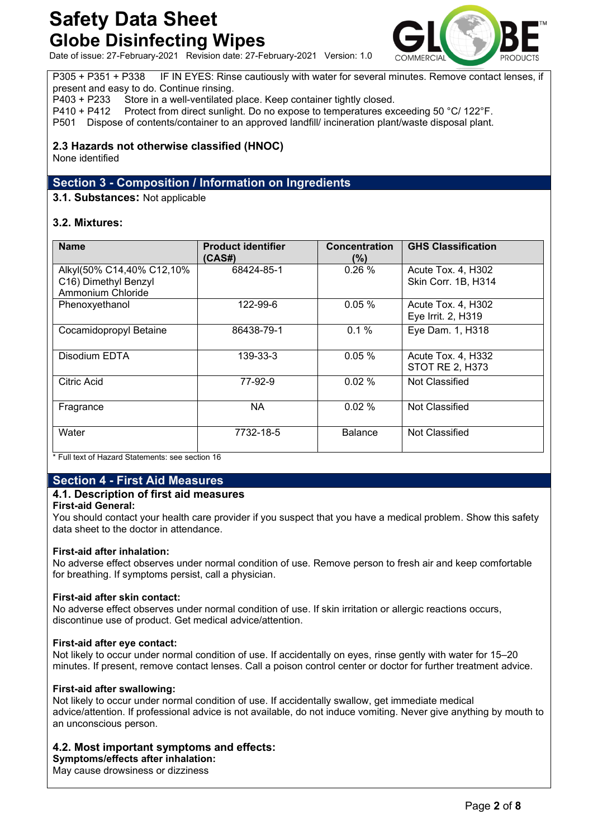

Date of issue: 27-February-2021 Revision date: 27-February-2021 Version: 1.0

P305 + P351 + P338 IF IN EYES: Rinse cautiously with water for several minutes. Remove contact lenses, if present and easy to do. Continue rinsing.

P403 + P233 Store in a well-ventilated place. Keep container tightly closed.

P410 + P412 Protect from direct sunlight. Do no expose to temperatures exceeding 50 °C/ 122°F.

P501 Dispose of contents/container to an approved landfill/ incineration plant/waste disposal plant.

# **2.3 Hazards not otherwise classified (HNOC)**

None identified

# **Section 3 - Composition / Information on Ingredients**

### **3.1. Substances:** Not applicable

# **3.2. Mixtures:**

| <b>Name</b>                                                            | <b>Product identifier</b><br>(CAS#) | <b>Concentration</b><br>$(\% )$ | <b>GHS Classification</b>                    |
|------------------------------------------------------------------------|-------------------------------------|---------------------------------|----------------------------------------------|
| Alkyl(50% C14,40% C12,10%<br>C16) Dimethyl Benzyl<br>Ammonium Chloride | 68424-85-1                          | 0.26%                           | Acute Tox. 4, H302<br>Skin Corr. 1B, H314    |
| Phenoxyethanol                                                         | 122-99-6                            | 0.05%                           | Acute Tox. 4, H302<br>Eye Irrit. 2, H319     |
| Cocamidopropyl Betaine                                                 | 86438-79-1                          | 0.1%                            | Eye Dam. 1, H318                             |
| Disodium EDTA                                                          | 139-33-3                            | 0.05%                           | Acute Tox. 4, H332<br><b>STOT RE 2, H373</b> |
| <b>Citric Acid</b>                                                     | 77-92-9                             | 0.02%                           | Not Classified                               |
| Fragrance                                                              | <b>NA</b>                           | 0.02%                           | Not Classified                               |
| Water                                                                  | 7732-18-5                           | <b>Balance</b>                  | Not Classified                               |

\* Full text of Hazard Statements: see section 16

# **Section 4 - First Aid Measures**

# **4.1. Description of first aid measures**

#### **First-aid General:**

You should contact your health care provider if you suspect that you have a medical problem. Show this safety data sheet to the doctor in attendance.

#### **First-aid after inhalation:**

No adverse effect observes under normal condition of use. Remove person to fresh air and keep comfortable for breathing. If symptoms persist, call a physician.

#### **First-aid after skin contact:**

No adverse effect observes under normal condition of use. If skin irritation or allergic reactions occurs, discontinue use of product. Get medical advice/attention.

#### **First-aid after eye contact:**

Not likely to occur under normal condition of use. If accidentally on eyes, rinse gently with water for 15–20 minutes. If present, remove contact lenses. Call a poison control center or doctor for further treatment advice.

#### **First-aid after swallowing:**

Not likely to occur under normal condition of use. If accidentally swallow, get immediate medical advice/attention. If professional advice is not available, do not induce vomiting. Never give anything by mouth to an unconscious person.

# **4.2. Most important symptoms and effects:**

**Symptoms/effects after inhalation:**

May cause drowsiness or dizziness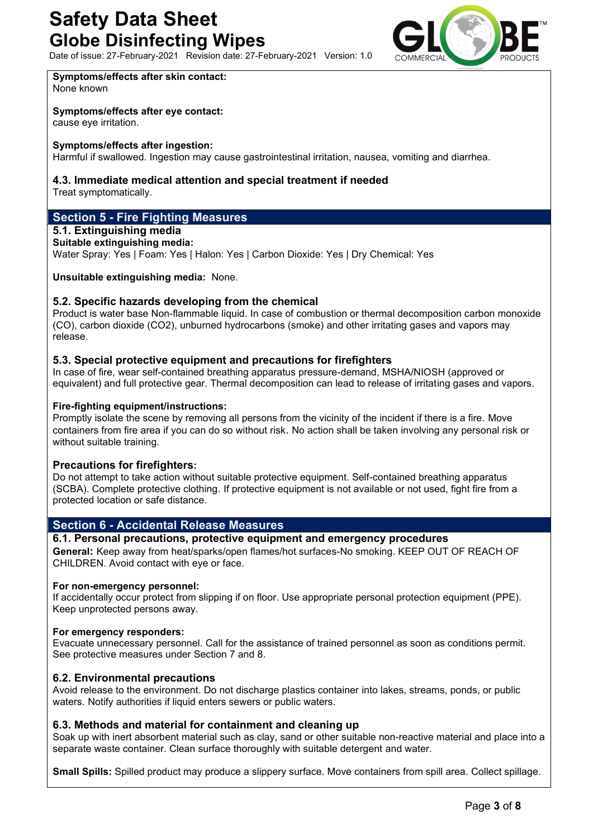Date of issue: 27-February-2021 Revision date: 27-February-2021 Version: 1.0



**Symptoms/effects after skin contact:** None known

# **Symptoms/effects after eye contact:**

cause eye irritation.

# **Symptoms/effects after ingestion:**

Harmful if swallowed. Ingestion may cause gastrointestinal irritation, nausea, vomiting and diarrhea.

# **4.3. Immediate medical attention and special treatment if needed**

Treat symptomatically.

# **Section 5 - Fire Fighting Measures**

# **5.1. Extinguishing media**

#### **Suitable extinguishing media:**

Water Spray: Yes | Foam: Yes | Halon: Yes | Carbon Dioxide: Yes | Dry Chemical: Yes

### **Unsuitable extinguishing media:** None.

# **5.2. Specific hazards developing from the chemical**

Product is water base Non-flammable liquid. In case of combustion or thermal decomposition carbon monoxide (CO), carbon dioxide (CO2), unburned hydrocarbons (smoke) and other irritating gases and vapors may release.

# **5.3. Special protective equipment and precautions for firefighters**

In case of fire, wear self-contained breathing apparatus pressure-demand, MSHA/NIOSH (approved or equivalent) and full protective gear. Thermal decomposition can lead to release of irritating gases and vapors.

#### **Fire-fighting equipment/instructions:**

Promptly isolate the scene by removing all persons from the vicinity of the incident if there is a fire. Move containers from fire area if you can do so without risk. No action shall be taken involving any personal risk or without suitable training.

# **Precautions for firefighters:**

Do not attempt to take action without suitable protective equipment. Self-contained breathing apparatus (SCBA). Complete protective clothing. If protective equipment is not available or not used, fight fire from a protected location or safe distance.

# **Section 6 - Accidental Release Measures**

# **6.1. Personal precautions, protective equipment and emergency procedures**

**General:** Keep away from heat/sparks/open flames/hot surfaces-No smoking. KEEP OUT OF REACH OF CHILDREN. Avoid contact with eye or face.

#### **For non-emergency personnel:**

If accidentally occur protect from slipping if on floor. Use appropriate personal protection equipment (PPE). Keep unprotected persons away.

#### **For emergency responders:**

Evacuate unnecessary personnel. Call for the assistance of trained personnel as soon as conditions permit. See protective measures under Section 7 and 8.

# **6.2. Environmental precautions**

Avoid release to the environment. Do not discharge plastics container into lakes, streams, ponds, or public waters. Notify authorities if liquid enters sewers or public waters.

# **6.3. Methods and material for containment and cleaning up**

Soak up with inert absorbent material such as clay, sand or other suitable non-reactive material and place into a separate waste container. Clean surface thoroughly with suitable detergent and water.

**Small Spills:** Spilled product may produce a slippery surface. Move containers from spill area. Collect spillage.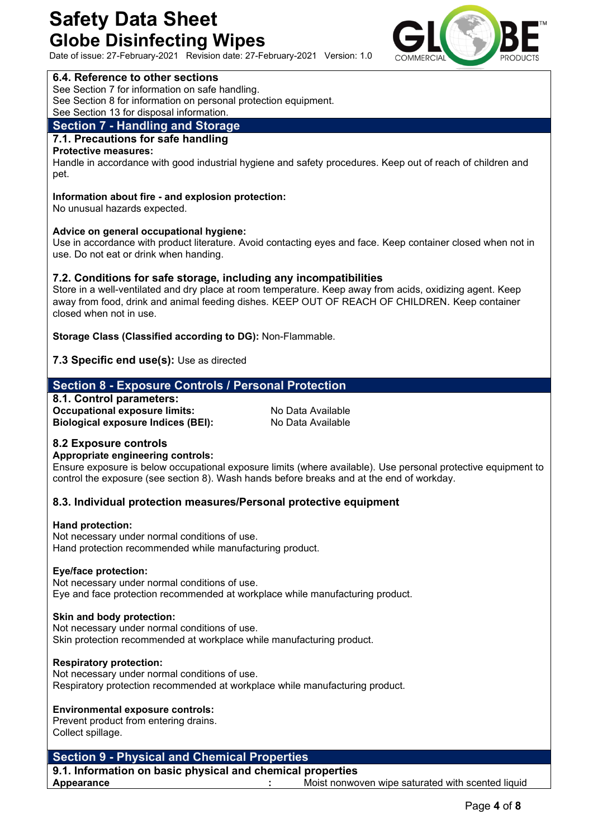Date of issue: 27-February-2021 Revision date: 27-February-2021 Version: 1.0

# **6.4. Reference to other sections**

See Section 7 for information on safe handling.

See Section 8 for information on personal protection equipment.

See Section 13 for disposal information.

# **Section 7 - Handling and Storage**

# **7.1. Precautions for safe handling**

**Protective measures:** 

Handle in accordance with good industrial hygiene and safety procedures. Keep out of reach of children and pet.

#### **Information about fire - and explosion protection:**

No unusual hazards expected.

# **Advice on general occupational hygiene:**

Use in accordance with product literature. Avoid contacting eyes and face. Keep container closed when not in use. Do not eat or drink when handing.

# **7.2. Conditions for safe storage, including any incompatibilities**

Store in a well-ventilated and dry place at room temperature. Keep away from acids, oxidizing agent. Keep away from food, drink and animal feeding dishes. KEEP OUT OF REACH OF CHILDREN. Keep container closed when not in use.

**Storage Class (Classified according to DG):** Non-Flammable.

# **7.3 Specific end use(s):** Use as directed

# **Section 8 - Exposure Controls / Personal Protection**

**8.1. Control parameters: Occupational exposure limits:** No Data Available **Biological exposure Indices (BEI):** No Data Available

# **8.2 Exposure controls**

# **Appropriate engineering controls:**

Ensure exposure is below occupational exposure limits (where available). Use personal protective equipment to control the exposure (see section 8). Wash hands before breaks and at the end of workday.

# **8.3. Individual protection measures/Personal protective equipment**

#### **Hand protection:**

Not necessary under normal conditions of use. Hand protection recommended while manufacturing product.

#### **Eye/face protection:**

Not necessary under normal conditions of use. Eye and face protection recommended at workplace while manufacturing product.

#### **Skin and body protection:**

Not necessary under normal conditions of use. Skin protection recommended at workplace while manufacturing product.

#### **Respiratory protection:**

Not necessary under normal conditions of use. Respiratory protection recommended at workplace while manufacturing product.

# **Environmental exposure controls:**

Prevent product from entering drains. Collect spillage.

# **Section 9 - Physical and Chemical Properties**

**9.1. Information on basic physical and chemical properties Appearance :** Moist nonwoven wipe saturated with scented liquid

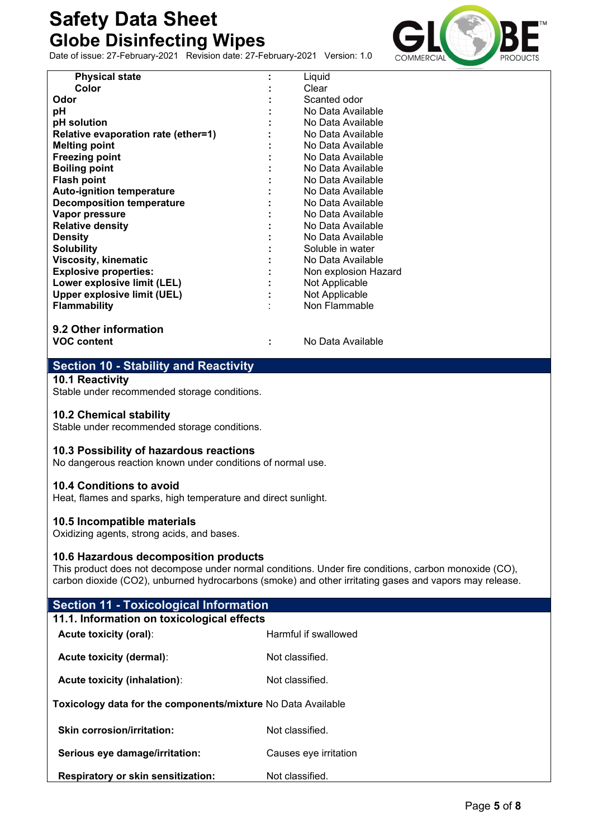Date of issue: 27-February-2021 Revision date: 27-February-2021 Version: 1.0



| <b>Physical state</b>                       | Liquid               |
|---------------------------------------------|----------------------|
| Color                                       | Clear                |
| Odor                                        | Scanted odor         |
| рH                                          | No Data Available    |
| pH solution                                 | No Data Available    |
| Relative evaporation rate (ether=1)         | No Data Available    |
| <b>Melting point</b>                        | No Data Available    |
| <b>Freezing point</b>                       | No Data Available    |
| <b>Boiling point</b>                        | No Data Available    |
| <b>Flash point</b>                          | No Data Available    |
| <b>Auto-ignition temperature</b>            | No Data Available    |
| <b>Decomposition temperature</b>            | No Data Available    |
| Vapor pressure                              | No Data Available    |
| <b>Relative density</b>                     | No Data Available    |
| <b>Density</b>                              | No Data Available    |
| <b>Solubility</b>                           | Soluble in water     |
| <b>Viscosity, kinematic</b>                 | No Data Available    |
| <b>Explosive properties:</b>                | Non explosion Hazard |
| Lower explosive limit (LEL)                 | Not Applicable       |
| <b>Upper explosive limit (UEL)</b>          | Not Applicable       |
| <b>Flammability</b>                         | Non Flammable        |
|                                             |                      |
|                                             |                      |
| 9.2 Other information<br><b>VOC content</b> | No Data Available    |

# **Section 10 - Stability and Reactivity**

**10.1 Reactivity**

Stable under recommended storage conditions.

# **10.2 Chemical stability**

Stable under recommended storage conditions.

# **10.3 Possibility of hazardous reactions**

No dangerous reaction known under conditions of normal use.

# **10.4 Conditions to avoid**

Heat, flames and sparks, high temperature and direct sunlight.

# **10.5 Incompatible materials**

Oxidizing agents, strong acids, and bases.

# **10.6 Hazardous decomposition products**

This product does not decompose under normal conditions. Under fire conditions, carbon monoxide (CO), carbon dioxide (CO2), unburned hydrocarbons (smoke) and other irritating gases and vapors may release.

| <b>Section 11 - Toxicological Information</b>                |                       |
|--------------------------------------------------------------|-----------------------|
| 11.1. Information on toxicological effects                   |                       |
| Acute toxicity (oral):                                       | Harmful if swallowed  |
| <b>Acute toxicity (dermal):</b>                              | Not classified.       |
| Acute toxicity (inhalation):                                 | Not classified.       |
| Toxicology data for the components/mixture No Data Available |                       |
| Skin corrosion/irritation:                                   | Not classified.       |
| Serious eye damage/irritation:                               | Causes eye irritation |
| <b>Respiratory or skin sensitization:</b>                    | Not classified.       |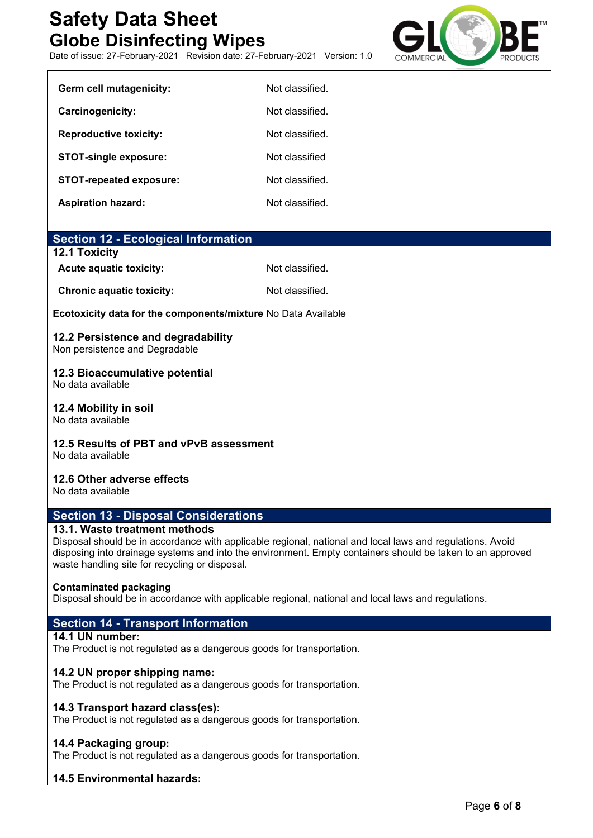Date of issue: 27-February-2021 Revision date: 27-February-2021 Version: 1.0



| Germ cell mutagenicity:        | Not classified. |
|--------------------------------|-----------------|
| Carcinogenicity:               | Not classified  |
| <b>Reproductive toxicity:</b>  | Not classified  |
| <b>STOT-single exposure:</b>   | Not classified  |
| <b>STOT-repeated exposure:</b> | Not classified  |
| <b>Aspiration hazard:</b>      | Not classified. |

| <b>Section 12 - Ecological Information</b> |
|--------------------------------------------|
|--------------------------------------------|

#### **12.1 Toxicity**

Acute aquatic toxicity: Not classified.

**Chronic aquatic toxicity:** Not classified.

**Ecotoxicity data for the components/mixture** No Data Available

# **12.2 Persistence and degradability**

Non persistence and Degradable

# **12.3 Bioaccumulative potential**

No data available

**12.4 Mobility in soil**

No data available

# **12.5 Results of PBT and vPvB assessment**

No data available

# **12.6 Other adverse effects**

No data available

# **Section 13 - Disposal Considerations**

# **13.1. Waste treatment methods**

Disposal should be in accordance with applicable regional, national and local laws and regulations. Avoid disposing into drainage systems and into the environment. Empty containers should be taken to an approved waste handling site for recycling or disposal.

# **Contaminated packaging**

Disposal should be in accordance with applicable regional, national and local laws and regulations.

# **Section 14 - Transport Information**

# **14.1 UN number:**

The Product is not regulated as a dangerous goods for transportation.

# **14.2 UN proper shipping name:**

The Product is not regulated as a dangerous goods for transportation.

# **14.3 Transport hazard class(es):**

The Product is not regulated as a dangerous goods for transportation.

# **14.4 Packaging group:**

The Product is not regulated as a dangerous goods for transportation.

# **14.5 Environmental hazards:**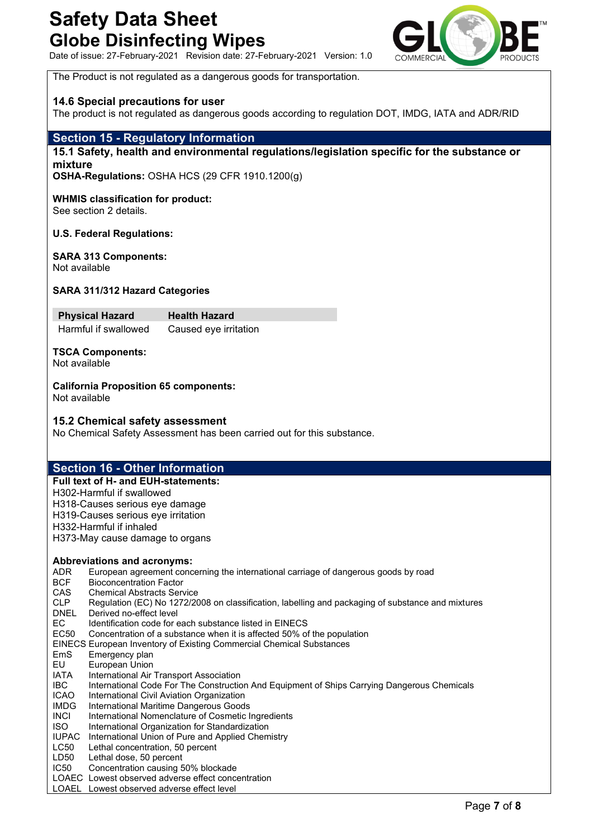Date of issue: 27-February-2021 Revision date: 27-February-2021 Version: 1.0



The Product is not regulated as a dangerous goods for transportation.

# **14.6 Special precautions for user**

The product is not regulated as dangerous goods according to regulation DOT, IMDG, IATA and ADR/RID

# **Section 15 - Regulatory Information**

# **15.1 Safety, health and environmental regulations/legislation specific for the substance or mixture**

**OSHA-Regulations:** OSHA HCS (29 CFR 1910.1200(g)

# **WHMIS classification for product:**

See section 2 details.

#### **U.S. Federal Regulations:**

# **SARA 313 Components:**

Not available

#### **SARA 311/312 Hazard Categories**

**Physical Hazard Health Hazard** Harmful if swallowed Caused eye irritation

**TSCA Components:** Not available

#### **California Proposition 65 components:** Not available

#### **15.2 Chemical safety assessment**

No Chemical Safety Assessment has been carried out for this substance.

# **Section 16 - Other Information**

**Full text of H- and EUH-statements:** H302-Harmful if swallowed H318-Causes serious eye damage H319-Causes serious eye irritation H332-Harmful if inhaled H373-May cause damage to organs

#### **Abbreviations and acronyms:**

- ADR European agreement concerning the international carriage of dangerous goods by road
- BCF Bioconcentration Factor<br>CAS Chemical Abstracts Ser **Chemical Abstracts Service**
- CLP Regulation (EC) No 1272/2008 on classification, labelling and packaging of substance and mixtures
- DNEL Derived no-effect level
- EC Identification code for each substance listed in EINECS
- EC50 Concentration of a substance when it is affected 50% of the population
- EINECS European Inventory of Existing Commercial Chemical Substances
- EmS Emergency plan
- EU European Union
- IATA International Air Transport Association
- IBC International Code For The Construction And Equipment of Ships Carrying Dangerous Chemicals
- ICAO International Civil Aviation Organization
- IMDG International Maritime Dangerous Goods
- INCI International Nomenclature of Cosmetic Ingredients
- ISO International Organization for Standardization
- IUPAC International Union of Pure and Applied Chemistry
- LC50 Lethal concentration, 50 percent
- LD50 Lethal dose, 50 percent
- IC50 Concentration causing 50% blockade
- LOAEC Lowest observed adverse effect concentration
- LOAEL Lowest observed adverse effect level